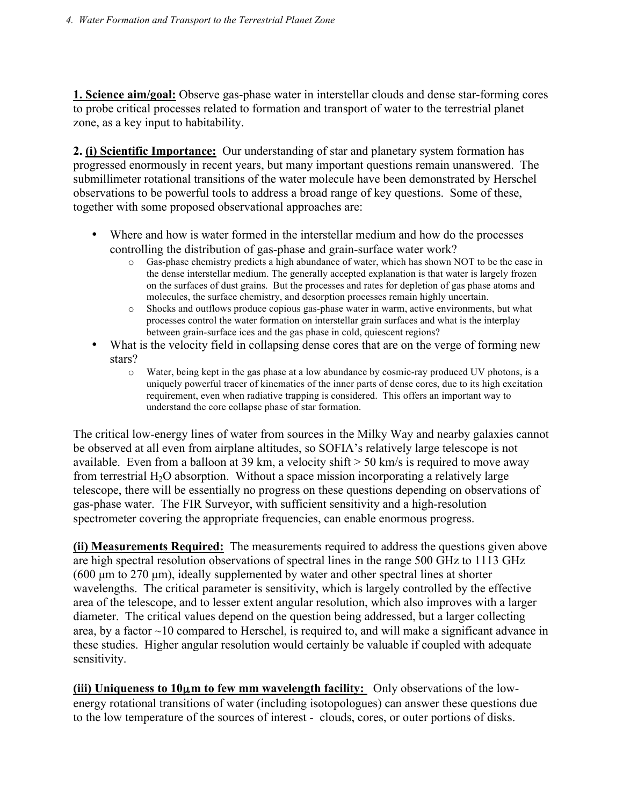**1. Science aim/goal:** Observe gas-phase water in interstellar clouds and dense star-forming cores to probe critical processes related to formation and transport of water to the terrestrial planet zone, as a key input to habitability.

**2. (i) Scientific Importance:**Our understanding of star and planetary system formation has progressed enormously in recent years, but many important questions remain unanswered. The submillimeter rotational transitions of the water molecule have been demonstrated by Herschel observations to be powerful tools to address a broad range of key questions. Some of these, together with some proposed observational approaches are:

- Where and how is water formed in the interstellar medium and how do the processes controlling the distribution of gas-phase and grain-surface water work?
	- o Gas-phase chemistry predicts a high abundance of water, which has shown NOT to be the case in the dense interstellar medium. The generally accepted explanation is that water is largely frozen on the surfaces of dust grains. But the processes and rates for depletion of gas phase atoms and molecules, the surface chemistry, and desorption processes remain highly uncertain.
	- o Shocks and outflows produce copious gas-phase water in warm, active environments, but what processes control the water formation on interstellar grain surfaces and what is the interplay between grain-surface ices and the gas phase in cold, quiescent regions?
- What is the velocity field in collapsing dense cores that are on the verge of forming new stars?
	- o Water, being kept in the gas phase at a low abundance by cosmic-ray produced UV photons, is a uniquely powerful tracer of kinematics of the inner parts of dense cores, due to its high excitation requirement, even when radiative trapping is considered. This offers an important way to understand the core collapse phase of star formation.

The critical low-energy lines of water from sources in the Milky Way and nearby galaxies cannot be observed at all even from airplane altitudes, so SOFIA's relatively large telescope is not available. Even from a balloon at 39 km, a velocity shift  $>$  50 km/s is required to move away from terrestrial  $H_2O$  absorption. Without a space mission incorporating a relatively large telescope, there will be essentially no progress on these questions depending on observations of gas-phase water. The FIR Surveyor, with sufficient sensitivity and a high-resolution spectrometer covering the appropriate frequencies, can enable enormous progress.

**(ii) Measurements Required:** The measurements required to address the questions given above are high spectral resolution observations of spectral lines in the range 500 GHz to 1113 GHz  $(600 \mu m)$  to 270  $\mu$ m), ideally supplemented by water and other spectral lines at shorter wavelengths. The critical parameter is sensitivity, which is largely controlled by the effective area of the telescope, and to lesser extent angular resolution, which also improves with a larger diameter. The critical values depend on the question being addressed, but a larger collecting area, by a factor  $\sim$ 10 compared to Herschel, is required to, and will make a significant advance in these studies. Higher angular resolution would certainly be valuable if coupled with adequate sensitivity.

**(iii) Uniqueness to 10**µ**m to few mm wavelength facility:** Only observations of the lowenergy rotational transitions of water (including isotopologues) can answer these questions due to the low temperature of the sources of interest - clouds, cores, or outer portions of disks.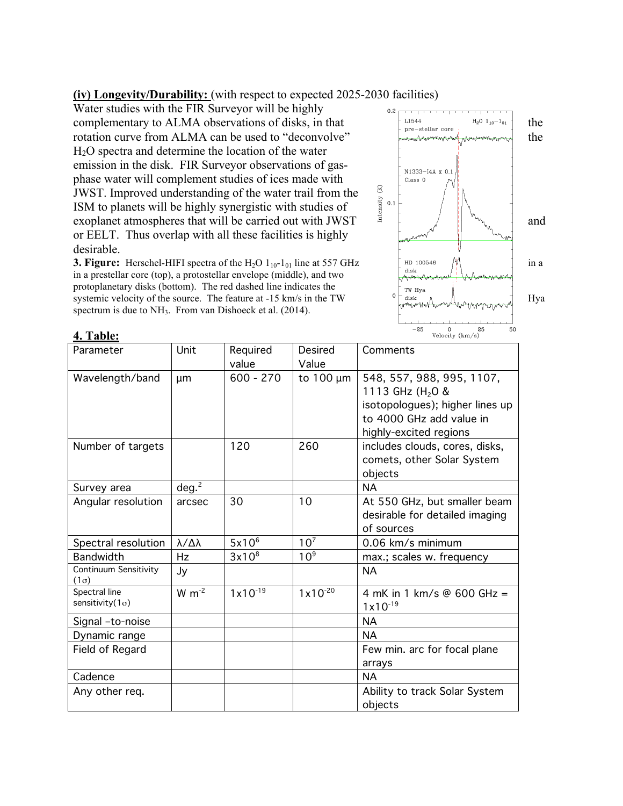## **(iv) Longevity/Durability:** (with respect to expected 2025-2030 facilities)

Water studies with the FIR Surveyor will be highly complementary to ALMA observations of disks, in that  $\left[\begin{array}{cc} 1.1544 \text{ } & \text{if } 1.1544 \text{ } \\ \text{pre-stellar core} & \text{if } 1.1544 \text{ } \end{array}\right]$  the rotation curve from ALMA can be used to "deconvolve" the H2O spectra and determine the location of the water emission in the disk. FIR Surveyor observations of gasphase water will complement studies of ices made with JWST. Improved understanding of the water trail from the ISM to planets will be highly synergistic with studies of JWST. Improved understanding of the water trail from the<br>ISM to planets will be highly synergistic with studies of<br>exoplanet atmospheres that will be carried out with JWST or EELT. Thus overlap with all these facilities is highly desirable.

**3. Figure:** Herschel-HIFI spectra of the H<sub>2</sub>O 1<sub>10</sub>-1<sub>01</sub> line at 557 GHz  $\begin{bmatrix} \text{HD 100546} \\ \text{disk} \end{bmatrix}$  in a in a prestellar core (top), a protostellar envelope (middle), and two in a prestellar core (top), a protostellar envelope (middle), and two protoplanetary disks (bottom). The red dashed line indicates the protoplanetary disks (bottom). The red dashed line indicates the<br>systemic velocity of the source. The feature at -15 km/s in the TW  $\int_{\frac{d}{dt} \sin \theta}^{\frac{1}{\cos \theta}} \frac{1}{\cos \theta}$  Hya spectrum is due to NH<sub>3</sub>. From van Dishoeck et al. (2014).



**4. Table:**

| Parameter                            | Unit                    | Required          | Desired         | Comments                        |
|--------------------------------------|-------------------------|-------------------|-----------------|---------------------------------|
|                                      |                         | value             | Value           |                                 |
| Wavelength/band                      | μm                      | $600 - 270$       | to $100 \mu m$  | 548, 557, 988, 995, 1107,       |
|                                      |                         |                   |                 | 1113 GHz (H <sub>2</sub> O &    |
|                                      |                         |                   |                 | isotopologues); higher lines up |
|                                      |                         |                   |                 | to 4000 GHz add value in        |
|                                      |                         |                   |                 | highly-excited regions          |
| Number of targets                    |                         | 120               | 260             | includes clouds, cores, disks,  |
|                                      |                         |                   |                 | comets, other Solar System      |
|                                      |                         |                   |                 | objects                         |
| Survey area                          | deg. <sup>2</sup>       |                   |                 | <b>NA</b>                       |
| Angular resolution                   | arcsec                  | 30                | 10              | At 550 GHz, but smaller beam    |
|                                      |                         |                   |                 | desirable for detailed imaging  |
|                                      |                         |                   |                 | of sources                      |
| Spectral resolution                  | $\lambda/\Delta\lambda$ | 5x10 <sup>6</sup> | 10 <sup>7</sup> | 0.06 km/s minimum               |
| <b>Bandwidth</b>                     | Hz                      | 3x10 <sup>8</sup> | 10 <sup>9</sup> | max.; scales w. frequency       |
| Continuum Sensitivity<br>$(1\sigma)$ | Jy                      |                   |                 | <b>NA</b>                       |
| Spectral line                        | $W \, m^{-2}$           | $1x10^{-19}$      | $1x10^{-20}$    | 4 mK in 1 km/s @ 600 GHz =      |
| sensitivity( $1\sigma$ )             |                         |                   |                 | $1x10^{-19}$                    |
| Signal -to-noise                     |                         |                   |                 | <b>NA</b>                       |
| Dynamic range                        |                         |                   |                 | <b>NA</b>                       |
| Field of Regard                      |                         |                   |                 | Few min. arc for focal plane    |
|                                      |                         |                   |                 | arrays                          |
| Cadence                              |                         |                   |                 | <b>NA</b>                       |
| Any other req.                       |                         |                   |                 | Ability to track Solar System   |
|                                      |                         |                   |                 | objects                         |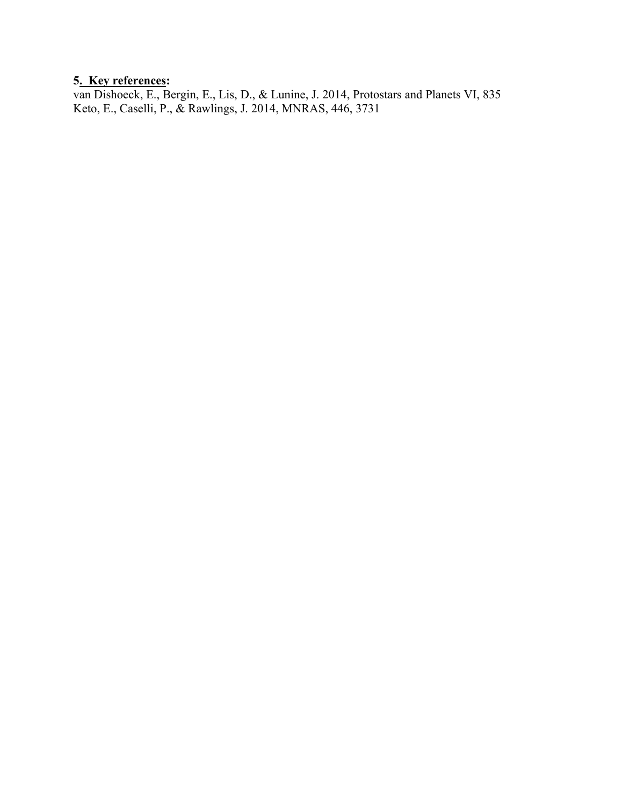# **5. Key references:**

van Dishoeck, E., Bergin, E., Lis, D., & Lunine, J. 2014, Protostars and Planets VI, 835 Keto, E., Caselli, P., & Rawlings, J. 2014, MNRAS, 446, 3731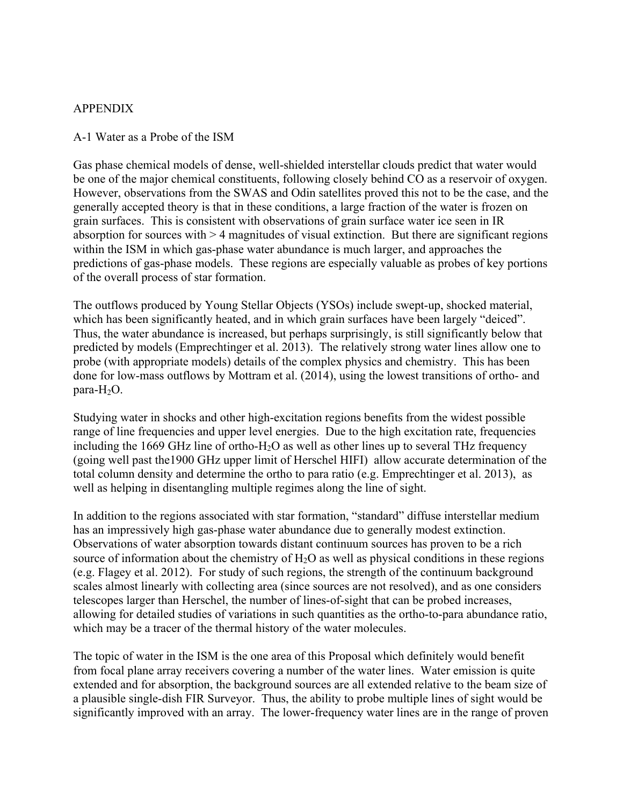### APPENDIX

#### A-1 Water as a Probe of the ISM

Gas phase chemical models of dense, well-shielded interstellar clouds predict that water would be one of the major chemical constituents, following closely behind CO as a reservoir of oxygen. However, observations from the SWAS and Odin satellites proved this not to be the case, and the generally accepted theory is that in these conditions, a large fraction of the water is frozen on grain surfaces. This is consistent with observations of grain surface water ice seen in IR absorption for sources with > 4 magnitudes of visual extinction. But there are significant regions within the ISM in which gas-phase water abundance is much larger, and approaches the predictions of gas-phase models. These regions are especially valuable as probes of key portions of the overall process of star formation.

The outflows produced by Young Stellar Objects (YSOs) include swept-up, shocked material, which has been significantly heated, and in which grain surfaces have been largely "deiced". Thus, the water abundance is increased, but perhaps surprisingly, is still significantly below that predicted by models (Emprechtinger et al. 2013). The relatively strong water lines allow one to probe (with appropriate models) details of the complex physics and chemistry. This has been done for low-mass outflows by Mottram et al. (2014), using the lowest transitions of ortho- and  $para-H<sub>2</sub>O$ .

Studying water in shocks and other high-excitation regions benefits from the widest possible range of line frequencies and upper level energies. Due to the high excitation rate, frequencies including the 1669 GHz line of ortho-H<sub>2</sub>O as well as other lines up to several THz frequency (going well past the1900 GHz upper limit of Herschel HIFI) allow accurate determination of the total column density and determine the ortho to para ratio (e.g. Emprechtinger et al. 2013), as well as helping in disentangling multiple regimes along the line of sight.

In addition to the regions associated with star formation, "standard" diffuse interstellar medium has an impressively high gas-phase water abundance due to generally modest extinction. Observations of water absorption towards distant continuum sources has proven to be a rich source of information about the chemistry of  $H_2O$  as well as physical conditions in these regions (e.g. Flagey et al. 2012). For study of such regions, the strength of the continuum background scales almost linearly with collecting area (since sources are not resolved), and as one considers telescopes larger than Herschel, the number of lines-of-sight that can be probed increases, allowing for detailed studies of variations in such quantities as the ortho-to-para abundance ratio, which may be a tracer of the thermal history of the water molecules.

The topic of water in the ISM is the one area of this Proposal which definitely would benefit from focal plane array receivers covering a number of the water lines. Water emission is quite extended and for absorption, the background sources are all extended relative to the beam size of a plausible single-dish FIR Surveyor. Thus, the ability to probe multiple lines of sight would be significantly improved with an array. The lower-frequency water lines are in the range of proven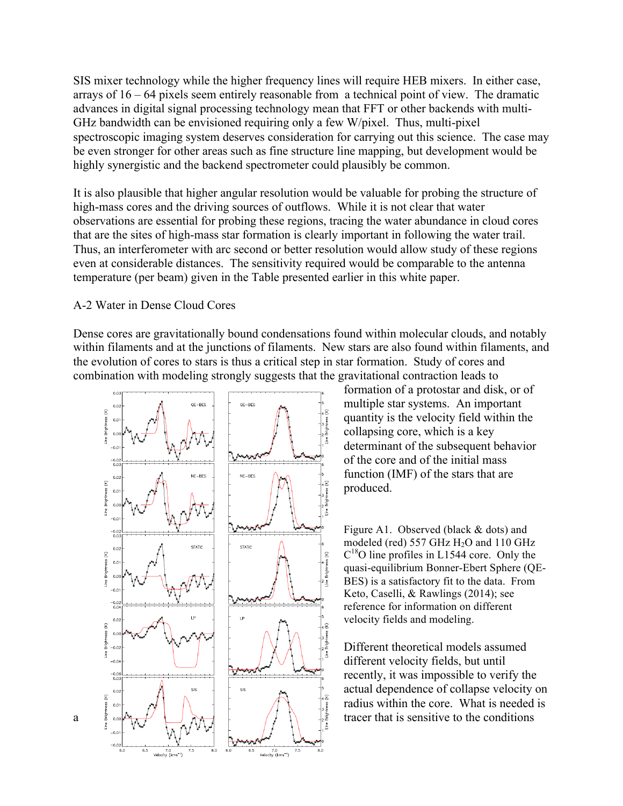SIS mixer technology while the higher frequency lines will require HEB mixers. In either case, arrays of 16 – 64 pixels seem entirely reasonable from a technical point of view. The dramatic advances in digital signal processing technology mean that FFT or other backends with multi-GHz bandwidth can be envisioned requiring only a few W/pixel. Thus, multi-pixel spectroscopic imaging system deserves consideration for carrying out this science. The case may be even stronger for other areas such as fine structure line mapping, but development would be highly synergistic and the backend spectrometer could plausibly be common.

It is also plausible that higher angular resolution would be valuable for probing the structure of high-mass cores and the driving sources of outflows. While it is not clear that water observations are essential for probing these regions, tracing the water abundance in cloud cores that are the sites of high-mass star formation is clearly important in following the water trail. Thus, an interferometer with arc second or better resolution would allow study of these regions even at considerable distances. The sensitivity required would be comparable to the antenna temperature (per beam) given in the Table presented earlier in this white paper.

#### A-2 Water in Dense Cloud Cores

Dense cores are gravitationally bound condensations found within molecular clouds, and notably within filaments and at the junctions of filaments. New stars are also found within filaments, and the evolution of cores to stars is thus a critical step in star formation. Study of cores and combination with modeling strongly suggests that the gravitational contraction leads to



formation of a protostar and disk, or of multiple star systems. An important quantity is the velocity field within the collapsing core, which is a key determinant of the subsequent behavior of the core and of the initial mass function (IMF) of the stars that are produced.

Figure A1. Observed (black & dots) and modeled (red) 557 GHz  $H<sub>2</sub>O$  and 110 GHz  $C^{18}$ O line profiles in L1544 core. Only the quasi-equilibrium Bonner-Ebert Sphere (QE-BES) is a satisfactory fit to the data. From Keto, Caselli, & Rawlings (2014); see reference for information on different velocity fields and modeling.

Different theoretical models assumed different velocity fields, but until recently, it was impossible to verify the actual dependence of collapse velocity on radius within the core. What is needed is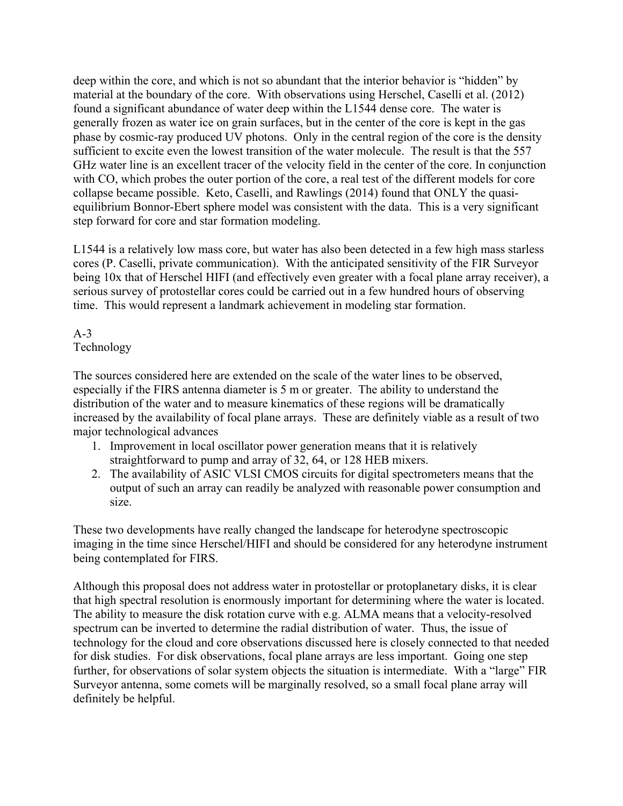deep within the core, and which is not so abundant that the interior behavior is "hidden" by material at the boundary of the core. With observations using Herschel, Caselli et al. (2012) found a significant abundance of water deep within the L1544 dense core. The water is generally frozen as water ice on grain surfaces, but in the center of the core is kept in the gas phase by cosmic-ray produced UV photons. Only in the central region of the core is the density sufficient to excite even the lowest transition of the water molecule. The result is that the 557 GHz water line is an excellent tracer of the velocity field in the center of the core. In conjunction with CO, which probes the outer portion of the core, a real test of the different models for core collapse became possible. Keto, Caselli, and Rawlings (2014) found that ONLY the quasiequilibrium Bonnor-Ebert sphere model was consistent with the data. This is a very significant step forward for core and star formation modeling.

L1544 is a relatively low mass core, but water has also been detected in a few high mass starless cores (P. Caselli, private communication). With the anticipated sensitivity of the FIR Surveyor being 10x that of Herschel HIFI (and effectively even greater with a focal plane array receiver), a serious survey of protostellar cores could be carried out in a few hundred hours of observing time. This would represent a landmark achievement in modeling star formation.

## $A-3$ Technology

The sources considered here are extended on the scale of the water lines to be observed, especially if the FIRS antenna diameter is 5 m or greater. The ability to understand the distribution of the water and to measure kinematics of these regions will be dramatically increased by the availability of focal plane arrays. These are definitely viable as a result of two major technological advances

- 1. Improvement in local oscillator power generation means that it is relatively straightforward to pump and array of 32, 64, or 128 HEB mixers.
- 2. The availability of ASIC VLSI CMOS circuits for digital spectrometers means that the output of such an array can readily be analyzed with reasonable power consumption and size.

These two developments have really changed the landscape for heterodyne spectroscopic imaging in the time since Herschel/HIFI and should be considered for any heterodyne instrument being contemplated for FIRS.

Although this proposal does not address water in protostellar or protoplanetary disks, it is clear that high spectral resolution is enormously important for determining where the water is located. The ability to measure the disk rotation curve with e.g. ALMA means that a velocity-resolved spectrum can be inverted to determine the radial distribution of water. Thus, the issue of technology for the cloud and core observations discussed here is closely connected to that needed for disk studies. For disk observations, focal plane arrays are less important. Going one step further, for observations of solar system objects the situation is intermediate. With a "large" FIR Surveyor antenna, some comets will be marginally resolved, so a small focal plane array will definitely be helpful.